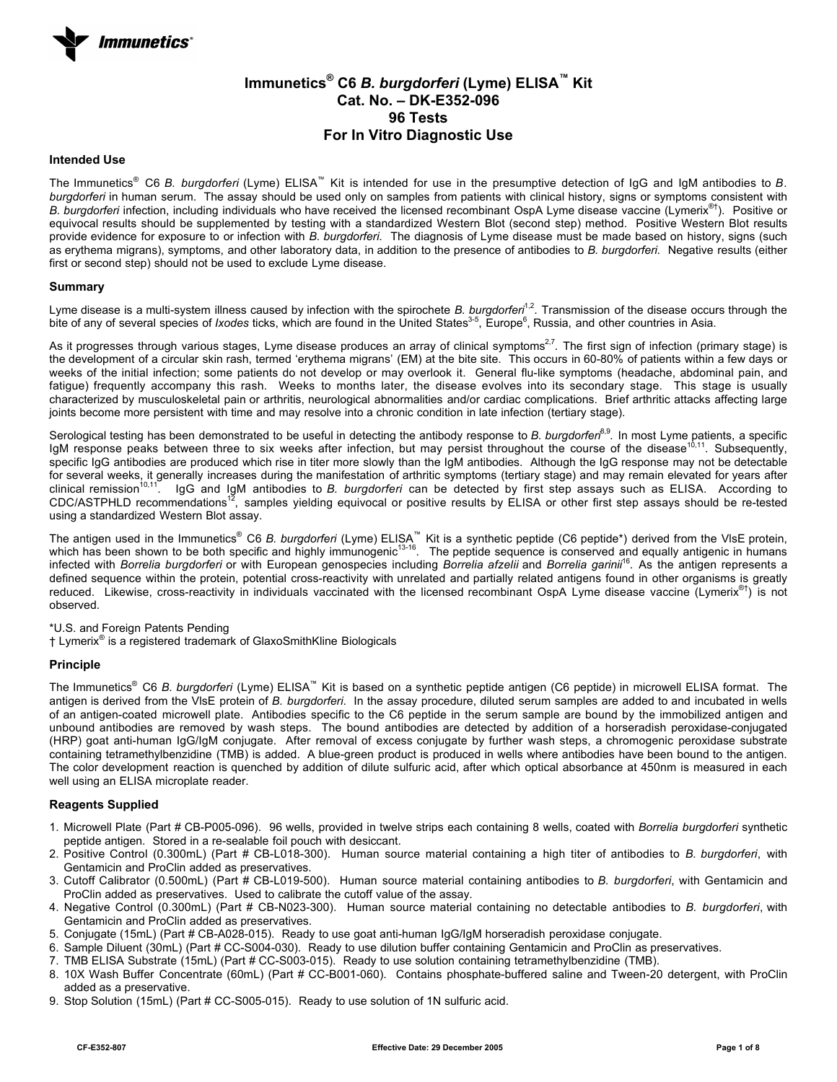# **Immunetics® C6** *B. burgdorferi* **(Lyme) ELISA™ Kit Cat. No. – DK-E352-096 96 Tests For In Vitro Diagnostic Use**

## **Intended Use**

The Immunetics® C6 *B. burgdorferi* (Lyme) ELISA™ Kit is intended for use in the presumptive detection of IgG and IgM antibodies to *B. burgdorferi* in human serum. The assay should be used only on samples from patients with clinical history, signs or symptoms consistent with *B. burgdorferi* infection, including individuals who have received the licensed recombinant OspA Lyme disease vaccine (Lymerix®†). Positive or equivocal results should be supplemented by testing with a standardized Western Blot (second step) method. Positive Western Blot results provide evidence for exposure to or infection with *B. burgdorferi*. The diagnosis of Lyme disease must be made based on history, signs (such as erythema migrans), symptoms, and other laboratory data, in addition to the presence of antibodies to *B. burgdorferi*. Negative results (either first or second step) should not be used to exclude Lyme disease.

#### **Summary**

Lyme disease is a multi-system illness caused by infection with the spirochete *B. burgdorferi<sup>1,2</sup>*. Transmission of the disease occurs through the bite of any of several species of *Ixodes* ticks, which are found in the United States<sup>3-5</sup>, Europe<sup>6</sup>, Russia, and other countries in Asia.

As it progresses through various stages, Lyme disease produces an array of clinical symptoms<sup>2,7</sup>. The first sign of infection (primary stage) is the development of a circular skin rash, termed 'erythema migrans' (EM) at the bite site. This occurs in 60-80% of patients within a few days or weeks of the initial infection; some patients do not develop or may overlook it. General flu-like symptoms (headache, abdominal pain, and fatigue) frequently accompany this rash. Weeks to months later, the disease evolves into its secondary stage. This stage is usually characterized by musculoskeletal pain or arthritis, neurological abnormalities and/or cardiac complications. Brief arthritic attacks affecting large joints become more persistent with time and may resolve into a chronic condition in late infection (tertiary stage).

Serological testing has been demonstrated to be useful in detecting the antibody response to *B. burgdorfen*<sup>8,9</sup>. In most Lyme patients, a specific IgM response peaks between three to six weeks after infection, but may persist throughout the course of the disease<sup>10,11</sup>. Subsequently, specific IgG antibodies are produced which rise in titer more slowly than the IgM antibodies. Although the IgG response may not be detectable for several weeks, it generally increases during the manifestation of arthritic symptoms (tertiary stage) and may remain elevated for years after clinical remission<sup>10,11</sup>. IgG and IgM antibodies to *B. burgdorferi* can be detected by first step assays such as ELISA. According to CDC/ASTPHLD recommendations<sup>12</sup>, samples yielding equivocal or positive results by ELISA or other first step assays should be re-tested using a standardized Western Blot assay.

The antigen used in the Immunetics<sup>®</sup> C6 *B. burgdorferi* (Lyme) ELISA<sup>™</sup> Kit is a synthetic peptide (C6 peptide\*) derived from the VIsE protein, which has been shown to be both specific and highly immunogenic<sup>13-16</sup>. The peptide sequence is conserved and equally antigenic in humans infected with *Borrelia burgdorferi* or with European genospecies including *Borrelia afzelii* and *Borrelia garinii*16. As the antigen represents a defined sequence within the protein, potential cross-reactivity with unrelated and partially related antigens found in other organisms is greatly reduced. Likewise, cross-reactivity in individuals vaccinated with the licensed recombinant OspA Lyme disease vaccine (Lymerix<sup>®†</sup>) is not observed.

### \*U.S. and Foreign Patents Pending

† Lymerix® is a registered trademark of GlaxoSmithKline Biologicals

### **Principle**

The Immunetics® C6 *B. burgdorferi* (Lyme) ELISA™ Kit is based on a synthetic peptide antigen (C6 peptide) in microwell ELISA format. The antigen is derived from the VlsE protein of *B. burgdorferi*. In the assay procedure, diluted serum samples are added to and incubated in wells of an antigen-coated microwell plate. Antibodies specific to the C6 peptide in the serum sample are bound by the immobilized antigen and unbound antibodies are removed by wash steps. The bound antibodies are detected by addition of a horseradish peroxidase-conjugated (HRP) goat anti-human IgG/IgM conjugate. After removal of excess conjugate by further wash steps, a chromogenic peroxidase substrate containing tetramethylbenzidine (TMB) is added. A blue-green product is produced in wells where antibodies have been bound to the antigen. The color development reaction is quenched by addition of dilute sulfuric acid, after which optical absorbance at 450nm is measured in each well using an ELISA microplate reader.

### **Reagents Supplied**

- 1. Microwell Plate (Part # CB-P005-096). 96 wells, provided in twelve strips each containing 8 wells, coated with *Borrelia burgdorferi* synthetic peptide antigen. Stored in a re-sealable foil pouch with desiccant.
- 2. Positive Control (0.300mL) (Part # CB-L018-300). Human source material containing a high titer of antibodies to *B. burgdorferi*, with Gentamicin and ProClin added as preservatives.
- 3. Cutoff Calibrator (0.500mL) (Part # CB-L019-500). Human source material containing antibodies to *B. burgdorferi*, with Gentamicin and ProClin added as preservatives. Used to calibrate the cutoff value of the assay.
- 4. Negative Control (0.300mL) (Part # CB-N023-300). Human source material containing no detectable antibodies to *B. burgdorferi*, with Gentamicin and ProClin added as preservatives.
- 5. Conjugate (15mL) (Part # CB-A028-015). Ready to use goat anti-human IgG/IgM horseradish peroxidase conjugate.
- 6. Sample Diluent (30mL) (Part # CC-S004-030). Ready to use dilution buffer containing Gentamicin and ProClin as preservatives.
- 7. TMB ELISA Substrate (15mL) (Part # CC-S003-015). Ready to use solution containing tetramethylbenzidine (TMB).
- 8. 10X Wash Buffer Concentrate (60mL) (Part # CC-B001-060). Contains phosphate-buffered saline and Tween-20 detergent, with ProClin added as a preservative.
- 9. Stop Solution (15mL) (Part # CC-S005-015). Ready to use solution of 1N sulfuric acid.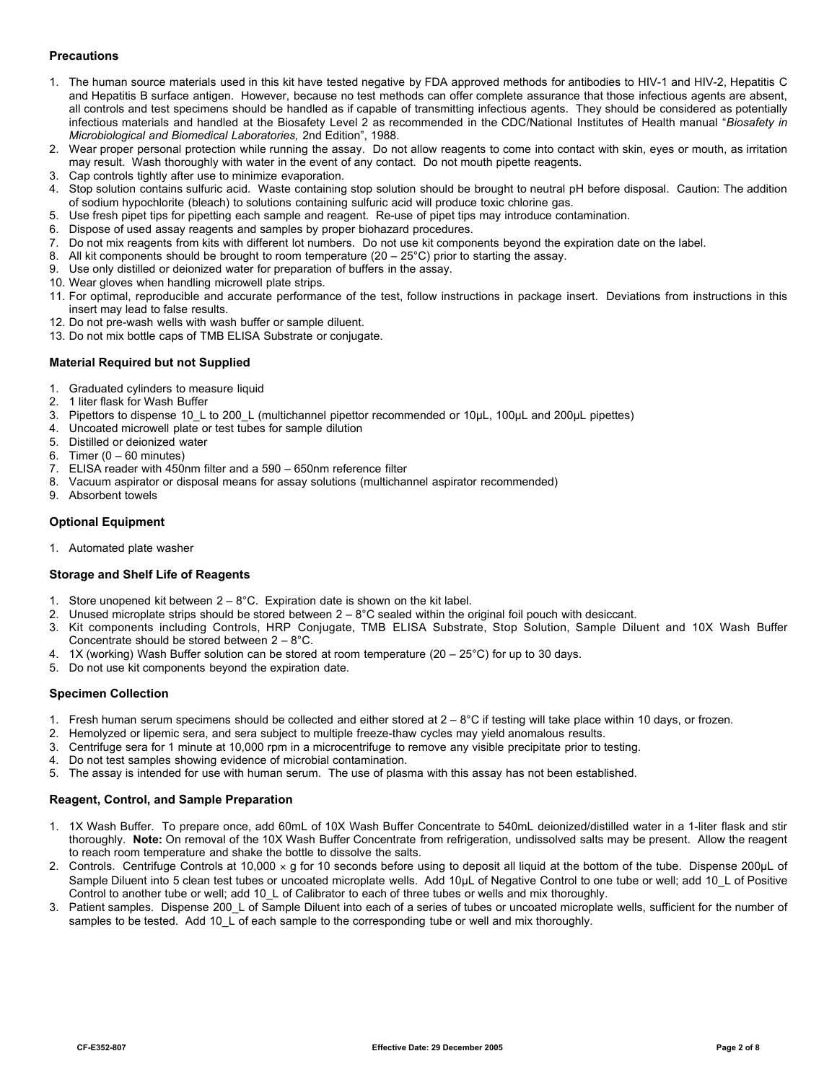## **Precautions**

- 1. The human source materials used in this kit have tested negative by FDA approved methods for antibodies to HIV-1 and HIV-2, Hepatitis C and Hepatitis B surface antigen. However, because no test methods can offer complete assurance that those infectious agents are absent, all controls and test specimens should be handled as if capable of transmitting infectious agents. They should be considered as potentially infectious materials and handled at the Biosafety Level 2 as recommended in the CDC/National Institutes of Health manual "*Biosafety in Microbiological and Biomedical Laboratories,* 2nd Edition", 1988.
- 2. Wear proper personal protection while running the assay. Do not allow reagents to come into contact with skin, eyes or mouth, as irritation may result. Wash thoroughly with water in the event of any contact. Do not mouth pipette reagents.
- 3. Cap controls tightly after use to minimize evaporation.
- 4. Stop solution contains sulfuric acid. Waste containing stop solution should be brought to neutral pH before disposal. Caution: The addition of sodium hypochlorite (bleach) to solutions containing sulfuric acid will produce toxic chlorine gas.
- 5. Use fresh pipet tips for pipetting each sample and reagent. Re-use of pipet tips may introduce contamination.
- 6. Dispose of used assay reagents and samples by proper biohazard procedures.
- 7. Do not mix reagents from kits with different lot numbers. Do not use kit components beyond the expiration date on the label.
- 8. All kit components should be brought to room temperature  $(20 25^{\circ}C)$  prior to starting the assay.
- 9. Use only distilled or deionized water for preparation of buffers in the assay.
- 10. Wear gloves when handling microwell plate strips.
- 11. For optimal, reproducible and accurate performance of the test, follow instructions in package insert. Deviations from instructions in this insert may lead to false results.
- 12. Do not pre-wash wells with wash buffer or sample diluent.
- 13. Do not mix bottle caps of TMB ELISA Substrate or conjugate.

### **Material Required but not Supplied**

- 1. Graduated cylinders to measure liquid
- 2. 1 liter flask for Wash Buffer
- 3. Pipettors to dispense 10\_L to 200\_L (multichannel pipettor recommended or 10µL, 100µL and 200µL pipettes)
- 4. Uncoated microwell plate or test tubes for sample dilution
- 5. Distilled or deionized water
- 6. Timer  $(0 60$  minutes)
- 7. ELISA reader with 450nm filter and a 590 650nm reference filter
- 8. Vacuum aspirator or disposal means for assay solutions (multichannel aspirator recommended)
- 9. Absorbent towels

### **Optional Equipment**

1. Automated plate washer

## **Storage and Shelf Life of Reagents**

- 1. Store unopened kit between  $2 8$ °C. Expiration date is shown on the kit label.
- 2. Unused microplate strips should be stored between  $2-8^{\circ}$ C sealed within the original foil pouch with desiccant.
- 3. Kit components including Controls, HRP Conjugate, TMB ELISA Substrate, Stop Solution, Sample Diluent and 10X Wash Buffer Concentrate should be stored between 2 – 8°C.
- 4. 1X (working) Wash Buffer solution can be stored at room temperature (20 25°C) for up to 30 days.
- 5. Do not use kit components beyond the expiration date.

### **Specimen Collection**

- 1. Fresh human serum specimens should be collected and either stored at  $2-8^{\circ}$ C if testing will take place within 10 days, or frozen.
- 2. Hemolyzed or lipemic sera, and sera subject to multiple freeze-thaw cycles may yield anomalous results.
- 3. Centrifuge sera for 1 minute at 10,000 rpm in a microcentrifuge to remove any visible precipitate prior to testing.
- 4. Do not test samples showing evidence of microbial contamination.
- 5. The assay is intended for use with human serum. The use of plasma with this assay has not been established.

## **Reagent, Control, and Sample Preparation**

- 1. 1X Wash Buffer. To prepare once, add 60mL of 10X Wash Buffer Concentrate to 540mL deionized/distilled water in a 1-liter flask and stir thoroughly. **Note:** On removal of the 10X Wash Buffer Concentrate from refrigeration, undissolved salts may be present. Allow the reagent to reach room temperature and shake the bottle to dissolve the salts.
- 2. Controls. Centrifuge Controls at 10,000  $\times$  g for 10 seconds before using to deposit all liquid at the bottom of the tube. Dispense 200µL of Sample Diluent into 5 clean test tubes or uncoated microplate wells. Add 10µL of Negative Control to one tube or well; add 10 L of Positive Control to another tube or well; add 10\_L of Calibrator to each of three tubes or wells and mix thoroughly.
- 3. Patient samples. Dispense 200\_L of Sample Diluent into each of a series of tubes or uncoated microplate wells, sufficient for the number of samples to be tested. Add 10\_L of each sample to the corresponding tube or well and mix thoroughly.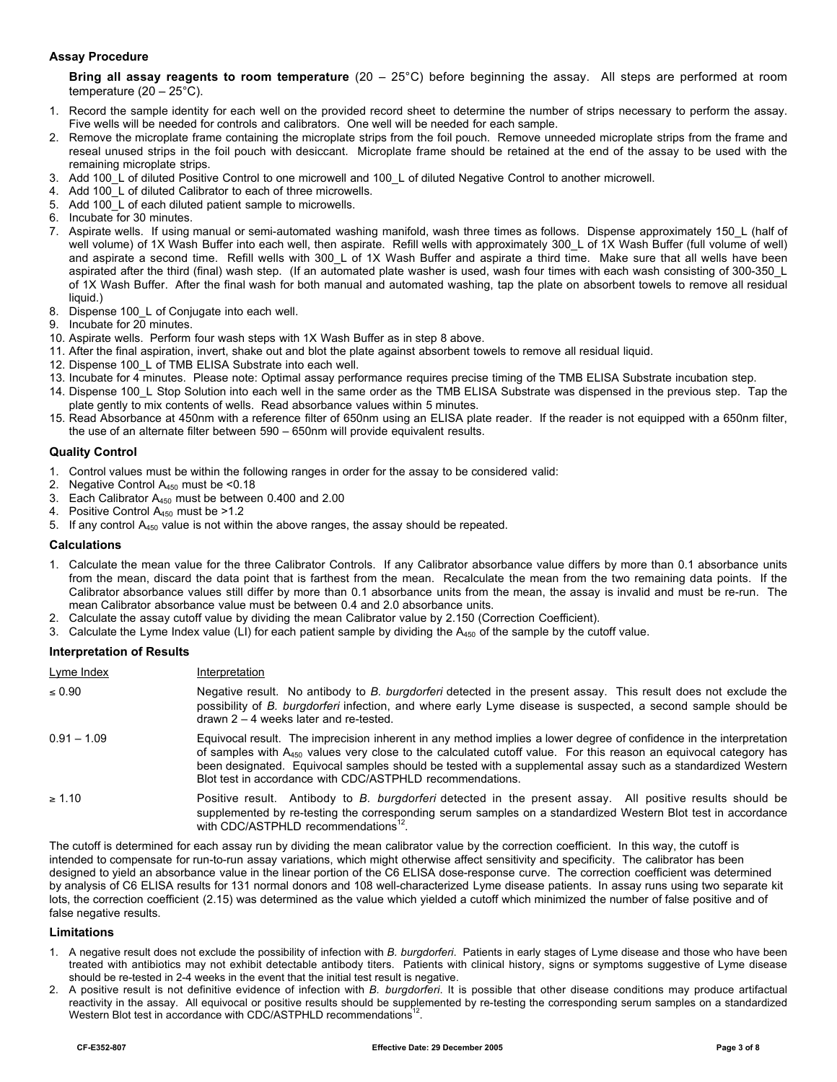### **Assay Procedure**

**Bring all assay reagents to room temperature** (20 – 25°C) before beginning the assay. All steps are performed at room temperature  $(20 - 25^{\circ}C)$ .

- 1. Record the sample identity for each well on the provided record sheet to determine the number of strips necessary to perform the assay. Five wells will be needed for controls and calibrators. One well will be needed for each sample.
- 2. Remove the microplate frame containing the microplate strips from the foil pouch. Remove unneeded microplate strips from the frame and reseal unused strips in the foil pouch with desiccant. Microplate frame should be retained at the end of the assay to be used with the remaining microplate strips.
- 3. Add 100\_L of diluted Positive Control to one microwell and 100\_L of diluted Negative Control to another microwell.
- 4. Add 100 L of diluted Calibrator to each of three microwells.
- 5. Add 100\_L of each diluted patient sample to microwells.
- 6. Incubate for 30 minutes.
- 7. Aspirate wells. If using manual or semi-automated washing manifold, wash three times as follows. Dispense approximately 150\_L (half of well volume) of 1X Wash Buffer into each well, then aspirate. Refill wells with approximately 300 L of 1X Wash Buffer (full volume of well) and aspirate a second time. Refill wells with 300 L of 1X Wash Buffer and aspirate a third time. Make sure that all wells have been aspirated after the third (final) wash step. (If an automated plate washer is used, wash four times with each wash consisting of 300-350\_L of 1X Wash Buffer. After the final wash for both manual and automated washing, tap the plate on absorbent towels to remove all residual liquid.)
- 8. Dispense 100\_L of Conjugate into each well.
- 9. Incubate for 20 minutes.
- 10. Aspirate wells. Perform four wash steps with 1X Wash Buffer as in step 8 above.
- 11. After the final aspiration, invert, shake out and blot the plate against absorbent towels to remove all residual liquid.
- 12. Dispense 100 L of TMB ELISA Substrate into each well.
- 13. Incubate for 4 minutes. Please note: Optimal assay performance requires precise timing of the TMB ELISA Substrate incubation step.
- 14. Dispense 100\_L Stop Solution into each well in the same order as the TMB ELISA Substrate was dispensed in the previous step. Tap the plate gently to mix contents of wells. Read absorbance values within 5 minutes.
- 15. Read Absorbance at 450nm with a reference filter of 650nm using an ELISA plate reader. If the reader is not equipped with a 650nm filter, the use of an alternate filter between 590 – 650nm will provide equivalent results.

### **Quality Control**

- 1. Control values must be within the following ranges in order for the assay to be considered valid:
- 2. Negative Control A450 must be <0.18
- 3. Each Calibrator A450 must be between 0.400 and 2.00
- 4. Positive Control  $A_{450}$  must be >1.2
- 5. If any control A<sub>450</sub> value is not within the above ranges, the assay should be repeated.

### **Calculations**

- 1. Calculate the mean value for the three Calibrator Controls. If any Calibrator absorbance value differs by more than 0.1 absorbance units from the mean, discard the data point that is farthest from the mean. Recalculate the mean from the two remaining data points. If the Calibrator absorbance values still differ by more than 0.1 absorbance units from the mean, the assay is invalid and must be re-run. The mean Calibrator absorbance value must be between 0.4 and 2.0 absorbance units.
- 2. Calculate the assay cutoff value by dividing the mean Calibrator value by 2.150 (Correction Coefficient).
- 3. Calculate the Lyme Index value (LI) for each patient sample by dividing the  $A_{450}$  of the sample by the cutoff value.

## **Interpretation of Results**

| Lyme Index    | Interpretation                                                                                                                                                                                                                                                                                                                                                                                                            |
|---------------|---------------------------------------------------------------------------------------------------------------------------------------------------------------------------------------------------------------------------------------------------------------------------------------------------------------------------------------------------------------------------------------------------------------------------|
| $\leq 0.90$   | Negative result. No antibody to B. burgdorferi detected in the present assay. This result does not exclude the<br>possibility of B. burgdorferi infection, and where early Lyme disease is suspected, a second sample should be<br>drawn $2 - 4$ weeks later and re-tested.                                                                                                                                               |
| $0.91 - 1.09$ | Equivocal result. The imprecision inherent in any method implies a lower degree of confidence in the interpretation<br>of samples with $A_{450}$ values very close to the calculated cutoff value. For this reason an equivocal category has<br>been designated. Equivocal samples should be tested with a supplemental assay such as a standardized Western<br>Blot test in accordance with CDC/ASTPHLD recommendations. |
| $\geq 1.10$   | Positive result. Antibody to B. burgdorferi detected in the present assay. All positive results should be<br>supplemented by re-testing the corresponding serum samples on a standardized Western Blot test in accordance<br>with CDC/ASTPHLD recommendations <sup>12</sup> .                                                                                                                                             |

The cutoff is determined for each assay run by dividing the mean calibrator value by the correction coefficient. In this way, the cutoff is intended to compensate for run-to-run assay variations, which might otherwise affect sensitivity and specificity. The calibrator has been designed to yield an absorbance value in the linear portion of the C6 ELISA dose-response curve. The correction coefficient was determined by analysis of C6 ELISA results for 131 normal donors and 108 well-characterized Lyme disease patients. In assay runs using two separate kit lots, the correction coefficient (2.15) was determined as the value which yielded a cutoff which minimized the number of false positive and of false negative results.

# **Limitations**

- 1. A negative result does not exclude the possibility of infection with *B. burgdorferi*. Patients in early stages of Lyme disease and those who have been treated with antibiotics may not exhibit detectable antibody titers. Patients with clinical history, signs or symptoms suggestive of Lyme disease should be re-tested in 2-4 weeks in the event that the initial test result is negative.
- 2. A positive result is not definitive evidence of infection with *B. burgdorferi*. It is possible that other disease conditions may produce artifactual reactivity in the assay. All equivocal or positive results should be supplemented by re-testing the corresponding serum samples on a standardized Western Blot test in accordance with CDC/ASTPHLD recommendations<sup>12</sup>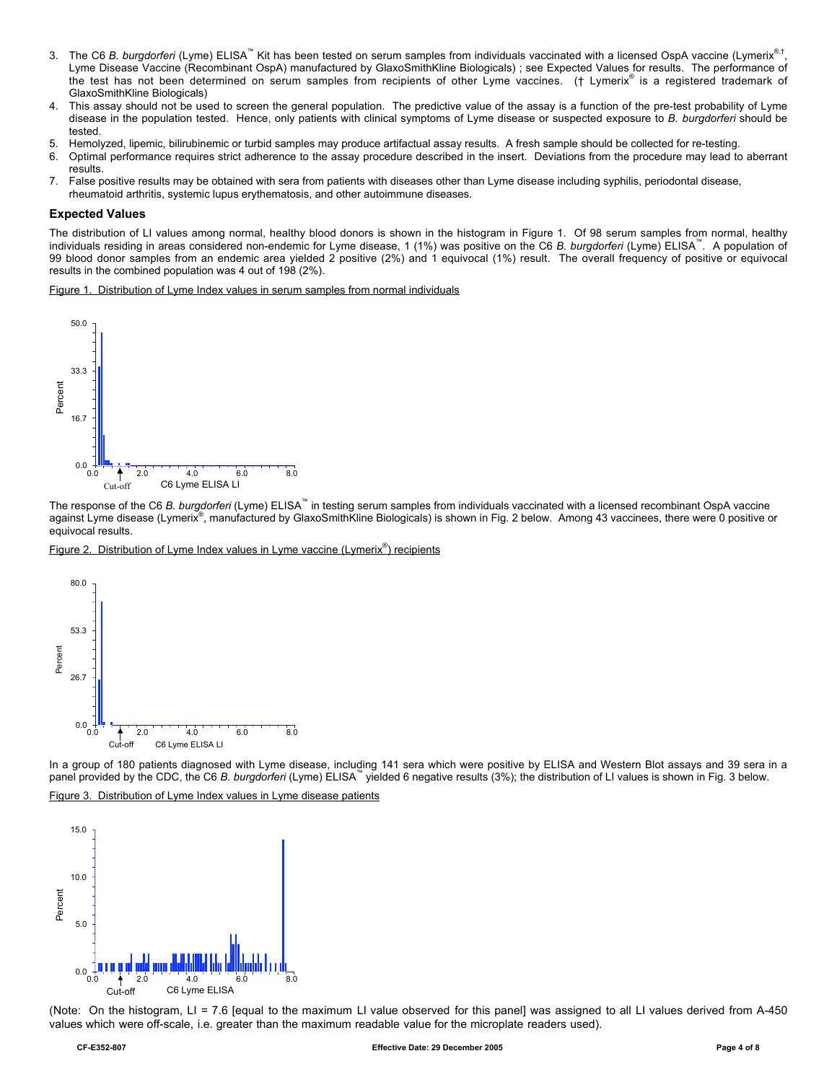- 3. The C6 *B. burgdorferi* (Lyme) ELISA<sup>™</sup> Kit has been tested on serum samples from individuals vaccinated with a licensed OspA vaccine (Lymerix<sup>®,†</sup>, Lyme Disease Vaccine (Recombinant OspA) manufactured by GlaxoSmithKline Biologicals) ; see Expected Values for results. The performance of the test has not been determined on serum samples from recipients of other Lyme vaccines. († Lymerix® is a registered trademark of GlaxoSmithKline Biologicals)
- 4. This assay should not be used to screen the general population. The predictive value of the assay is a function of the pre-test probability of Lyme disease in the population tested. Hence, only patients with clinical symptoms of Lyme disease or suspected exposure to *B. burgdorferi* should be tested.
- 5. Hemolyzed, lipemic, bilirubinemic or turbid samples may produce artifactual assay results. A fresh sample should be collected for re-testing.
- 6. Optimal performance requires strict adherence to the assay procedure described in the insert. Deviations from the procedure may lead to aberrant results.
- 7. False positive results may be obtained with sera from patients with diseases other than Lyme disease including syphilis, periodontal disease, rheumatoid arthritis, systemic lupus erythematosis, and other autoimmune diseases.

# **Expected Values**

The distribution of LI values among normal, healthy blood donors is shown in the histogram in Figure 1. Of 98 serum samples from normal, healthy individuals residing in areas considered non-endemic for Lyme disease, 1 (1%) was positive on the C6 *B. burgdorferi* (Lyme) ELISA™. A population of 99 blood donor samples from an endemic area yielded 2 positive (2%) and 1 equivocal (1%) result. The overall frequency of positive or equivocal results in the combined population was 4 out of 198 (2%).

Figure 1. Distribution of Lyme Index values in serum samples from normal individuals



The response of the C6 *B. burgdorferi* (Lyme) ELISA™ in testing serum samples from individuals vaccinated with a licensed recombinant OspA vaccine against Lyme disease (Lymerix®, manufactured by GlaxoSmithKline Biologicals) is shown in Fig. 2 below. Among 43 vaccinees, there were 0 positive or equivocal results.

Figure 2. Distribution of Lyme Index values in Lyme vaccine (Lymerix<sup>®</sup>) recipients



In a group of 180 patients diagnosed with Lyme disease, including 141 sera which were positive by ELISA and Western Blot assays and 39 sera in a panel provided by the CDC, the C6 B. burgdorferi (Lyme) ELISA<sup>™</sup> yielded 6 negative results (3%); the distribution of LI values is shown in Fig. 3 below.

Figure 3. Distribution of Lyme Index values in Lyme disease patients



(Note: On the histogram, LI = 7.6 [equal to the maximum LI value observed for this panel] was assigned to all LI values derived from A-450 values which were off-scale, i.e. greater than the maximum readable value for the microplate readers used).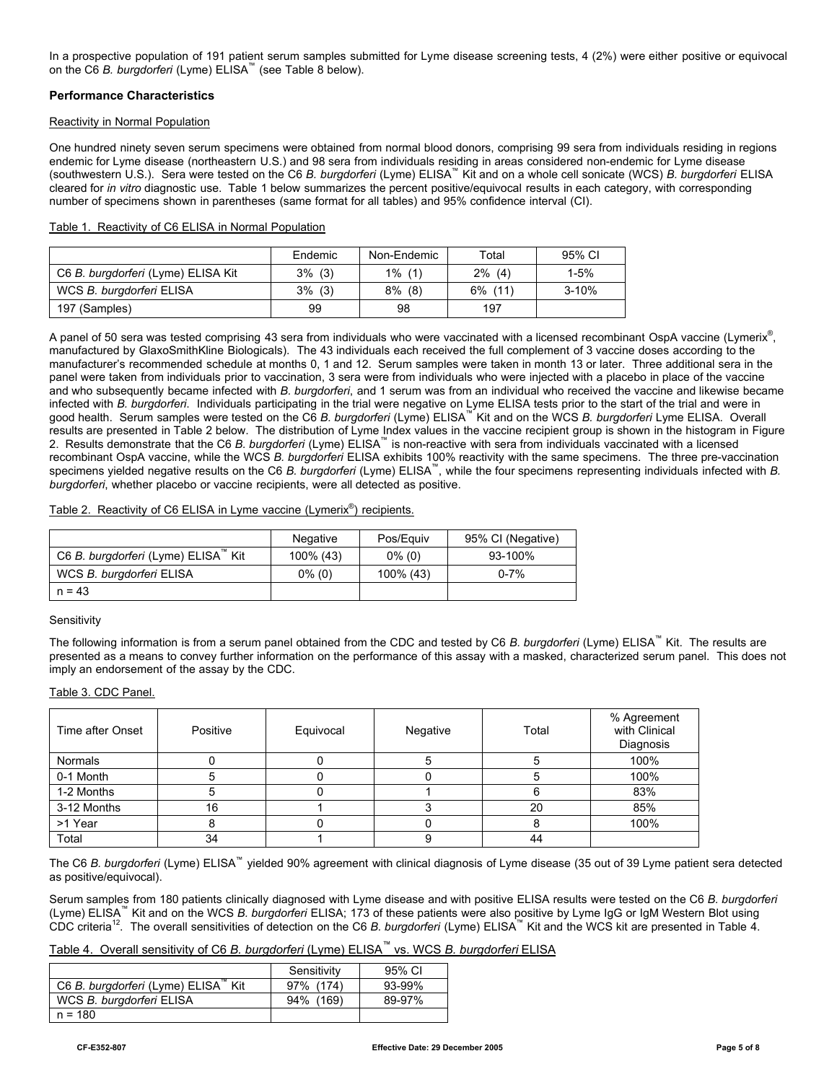In a prospective population of 191 patient serum samples submitted for Lyme disease screening tests, 4 (2%) were either positive or equivocal on the C6 *B. burgdorferi* (Lyme) ELISA™ (see Table 8 below).

### **Performance Characteristics**

### Reactivity in Normal Population

One hundred ninety seven serum specimens were obtained from normal blood donors, comprising 99 sera from individuals residing in regions endemic for Lyme disease (northeastern U.S.) and 98 sera from individuals residing in areas considered non-endemic for Lyme disease (southwestern U.S.). Sera were tested on the C6 *B. burgdorferi* (Lyme) ELISA™ Kit and on a whole cell sonicate (WCS) *B. burgdorferi* ELISA cleared for *in vitro* diagnostic use. Table 1 below summarizes the percent positive/equivocal results in each category, with corresponding number of specimens shown in parentheses (same format for all tables) and 95% confidence interval (CI).

| Table 1. Reactivity of C6 ELISA in Normal Population |
|------------------------------------------------------|
|------------------------------------------------------|

|                                    | Endemic   | Non-Endemic | Total      | 95% CI    |
|------------------------------------|-----------|-------------|------------|-----------|
| C6 B. burgdorferi (Lyme) ELISA Kit | $3\%$ (3) | $1\%$ (1)   | $2\%$ (4)  | $1 - 5%$  |
| WCS B. burgdorferi ELISA           | $3\%$ (3) | $8\%$ (8)   | $6\%$ (11) | $3 - 10%$ |
| 197 (Samples)                      | 99        | 98          | 197        |           |

A panel of 50 sera was tested comprising 43 sera from individuals who were vaccinated with a licensed recombinant OspA vaccine (Lymerix®, manufactured by GlaxoSmithKline Biologicals). The 43 individuals each received the full complement of 3 vaccine doses according to the manufacturer's recommended schedule at months 0, 1 and 12. Serum samples were taken in month 13 or later. Three additional sera in the panel were taken from individuals prior to vaccination, 3 sera were from individuals who were injected with a placebo in place of the vaccine and who subsequently became infected with *B. burgdorferi*, and 1 serum was from an individual who received the vaccine and likewise became infected with *B. burgdorferi*. Individuals participating in the trial were negative on Lyme ELISA tests prior to the start of the trial and were in good health. Serum samples were tested on the C6 *B. burgdorferi* (Lyme) ELISA™ Kit and on the WCS *B. burgdorferi* Lyme ELISA. Overall results are presented in Table 2 below. The distribution of Lyme Index values in the vaccine recipient group is shown in the histogram in Figure 2. Results demonstrate that the C6 *B. burgdorferi* (Lyme) ELISA™ is non-reactive with sera from individuals vaccinated with a licensed recombinant OspA vaccine, while the WCS *B. burgdorferi* ELISA exhibits 100% reactivity with the same specimens. The three pre-vaccination specimens yielded negative results on the C6 *B. burgdorferi* (Lyme) ELISA™, while the four specimens representing individuals infected with *B. burgdorferi*, whether placebo or vaccine recipients, were all detected as positive.

### Table 2. Reactivity of C6 ELISA in Lyme vaccine (Lymerix<sup>®</sup>) recipients.

|                                     | <b>Negative</b> | Pos/Eguiv | 95% CI (Negative) |
|-------------------------------------|-----------------|-----------|-------------------|
| C6 B. burgdorferi (Lyme) ELISA™ Kit | 100% (43)       | $0\%$ (0) | 93-100%           |
| WCS B. burgdorferi ELISA            | $0\%$ (0)       | 100% (43) | $0 - 7%$          |
| $n = 43$                            |                 |           |                   |

#### **Sensitivity**

The following information is from a serum panel obtained from the CDC and tested by C6 *B. burgdorferi* (Lyme) ELISA™ Kit. The results are presented as a means to convey further information on the performance of this assay with a masked, characterized serum panel. This does not imply an endorsement of the assay by the CDC.

#### Table 3. CDC Panel.

| Time after Onset | Positive | Equivocal | Negative | Total | % Agreement<br>with Clinical<br>Diagnosis |
|------------------|----------|-----------|----------|-------|-------------------------------------------|
| <b>Normals</b>   |          |           |          |       | 100%                                      |
| 0-1 Month        |          |           |          |       | 100%                                      |
| 1-2 Months       |          |           |          |       | 83%                                       |
| 3-12 Months      | 16       |           |          | 20    | 85%                                       |
| >1 Year          |          |           |          |       | 100%                                      |
| Total            | 34       |           |          | 44    |                                           |

The C6 *B. burgdorferi* (Lyme) ELISA™ yielded 90% agreement with clinical diagnosis of Lyme disease (35 out of 39 Lyme patient sera detected as positive/equivocal).

Serum samples from 180 patients clinically diagnosed with Lyme disease and with positive ELISA results were tested on the C6 *B. burgdorferi* (Lyme) ELISA™ Kit and on the WCS *B. burgdorferi* ELISA; 173 of these patients were also positive by Lyme IgG or IgM Western Blot using CDC criteria12. The overall sensitivities of detection on the C6 *B. burgdorferi* (Lyme) ELISA™ Kit and the WCS kit are presented in Table 4.

Table 4. Overall sensitivity of C6 *B. burgdorferi* (Lyme) ELISA™ vs. WCS *B. burgdorferi* ELISA

|                                                    | Sensitivity     | 95% CI |
|----------------------------------------------------|-----------------|--------|
| C6 B. burgdorferi (Lyme) ELISA <sup>™</sup><br>Kit | 97% (174)       | 93-99% |
| WCS B. burgdorferi ELISA                           | $94\%$<br>(169) | 89-97% |
| $n = 180$                                          |                 |        |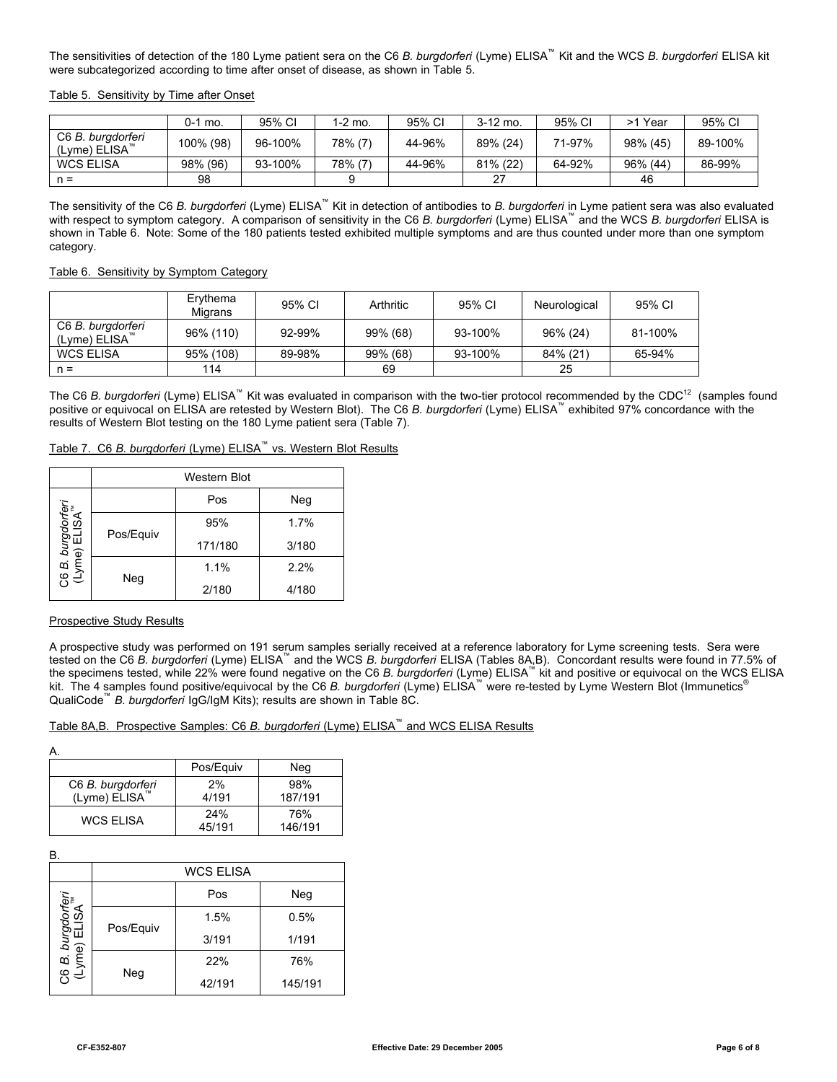The sensitivities of detection of the 180 Lyme patient sera on the C6 *B. burgdorferi* (Lyme) ELISA™ Kit and the WCS *B. burgdorferi* ELISA kit were subcategorized according to time after onset of disease, as shown in Table 5.

Table 5. Sensitivity by Time after Onset

|                                                | $0-1$ mo. | 95% CI  | 1-2 mo. | 95% CI | $3-12$ mo. | 95% CI | Year<br>>1 | 95% CI  |
|------------------------------------------------|-----------|---------|---------|--------|------------|--------|------------|---------|
| C6 B. burgdorferi<br>(Lyme) ELISA <sup>™</sup> | 100% (98) | 96-100% | 78% (7) | 44-96% | 89% (24)   | 71-97% | 98% (45)   | 89-100% |
| <b>WCS ELISA</b>                               | 98% (96)  | 93-100% | 78% (7) | 44-96% | 81% (22)   | 64-92% | 96% (44)   | 86-99%  |
| $n =$                                          | 98        |         |         |        | 27         |        | 46         |         |

The sensitivity of the C6 *B. burgdorferi* (Lyme) ELISA™ Kit in detection of antibodies to *B. burgdorferi* in Lyme patient sera was also evaluated with respect to symptom category. A comparison of sensitivity in the C6 *B. burgdorferi* (Lyme) ELISA™ and the WCS *B. burgdorferi* ELISA is shown in Table 6. Note: Some of the 180 patients tested exhibited multiple symptoms and are thus counted under more than one symptom category.

### Table 6. Sensitivity by Symptom Category

|                                                | Erythema<br>Migrans | 95% CI | Arthritic | 95% CI  | Neurological | 95% CI  |
|------------------------------------------------|---------------------|--------|-----------|---------|--------------|---------|
| C6 B. burgdorferi<br>(Lyme) ELISA <sup>™</sup> | 96% (110)           | 92-99% | 99% (68)  | 93-100% | 96% (24)     | 81-100% |
| <b>WCS ELISA</b>                               | 95% (108)           | 89-98% | 99% (68)  | 93-100% | 84% (21)     | 65-94%  |
| $n =$                                          | 114                 |        | 69        |         | 25           |         |

The C6 *B. burgdorferi* (Lyme) ELISA<sup>™</sup> Kit was evaluated in comparison with the two-tier protocol recommended by the CDC<sup>12</sup> (samples found positive or equivocal on ELISA are retested by Western Blot). The C6 *B. burgdorferi* (Lyme) ELISA™ exhibited 97% concordance with the results of Western Blot testing on the 180 Lyme patient sera (Table 7).

Table 7. C6 *B. burgdorferi* (Lyme) ELISA™ vs. Western Blot Results

|                                          | <b>Western Blot</b> |         |       |  |  |  |
|------------------------------------------|---------------------|---------|-------|--|--|--|
|                                          |                     | Pos     | Neg   |  |  |  |
| 36 <i>B. burgdorfen</i><br>(Lyme) ELISA™ | Pos/Equiv           | 95%     | 1.7%  |  |  |  |
|                                          |                     | 171/180 | 3/180 |  |  |  |
|                                          | 1.1%                | 2.2%    |       |  |  |  |
|                                          | Neg                 | 2/180   | 4/180 |  |  |  |

### Prospective Study Results

A prospective study was performed on 191 serum samples serially received at a reference laboratory for Lyme screening tests. Sera were tested on the C6 *B. burgdorferi* (Lyme) ELISA™ and the WCS *B. burgdorferi* ELISA (Tables 8A,B). Concordant results were found in 77.5% of the specimens tested, while 22% were found negative on the C6 *B. burgdorferi* (Lyme) ELISA™ kit and positive or equivocal on the WCS ELISA kit. The 4 samples found positive/equivocal by the C6 *B. burgdorferi* (Lyme) ELISA™ were re-tested by Lyme Western Blot (Immunetics® QualiCode™ *B. burgdorferi* IgG/IgM Kits); results are shown in Table 8C.

# Table 8A,B. Prospective Samples: C6 *B. burgdorferi* (Lyme) ELISA™ and WCS ELISA Results

|                                                | Pos/Equiv     | Neg            |
|------------------------------------------------|---------------|----------------|
| C6 B. burgdorferi<br>(Lyme) ELISA <sup>™</sup> | 2%<br>4/191   | 98%<br>187/191 |
| <b>WCS ELISA</b>                               | 24%<br>45/191 | 76%<br>146/191 |

B.

| υ.                                 |                  |        |         |  |  |  |
|------------------------------------|------------------|--------|---------|--|--|--|
|                                    | <b>WCS ELISA</b> |        |         |  |  |  |
|                                    |                  | Pos    | Neg     |  |  |  |
| C6 B. burgdorferi<br>(Lyme) ELISA™ | Pos/Equiv        | 1.5%   | 0.5%    |  |  |  |
|                                    |                  | 3/191  | 1/191   |  |  |  |
|                                    | Neg              | 22%    | 76%     |  |  |  |
|                                    |                  | 42/191 | 145/191 |  |  |  |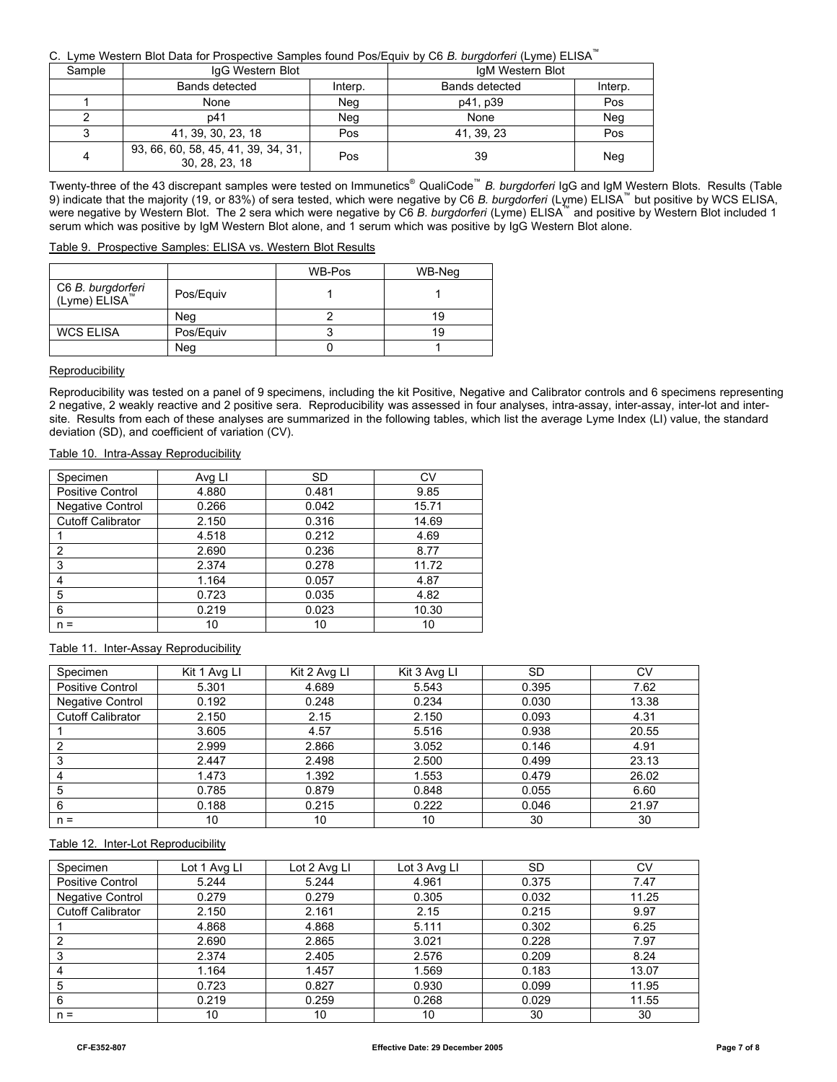# C. Lyme Western Blot Data for Prospective Samples found Pos/Equiv by C6 *B. burgdorferi* (Lyme) ELISA™

| Sample | IgG Western Blot                                      |         | IgM Western Blot |         |
|--------|-------------------------------------------------------|---------|------------------|---------|
|        | Bands detected                                        | Interp. | Bands detected   | Interp. |
|        | None                                                  | Neg     | p41, p39         | Pos     |
|        | p41                                                   | Neg     | None             | Neg     |
| 3      | 41, 39, 30, 23, 18                                    | Pos     | 41, 39, 23       | Pos     |
| 4      | 93, 66, 60, 58, 45, 41, 39, 34, 31,<br>30, 28, 23, 18 | Pos     | 39               | Neg     |

Twenty-three of the 43 discrepant samples were tested on Immunetics® QualiCode™ *B. burgdorferi* IgG and IgM Western Blots. Results (Table 9) indicate that the majority (19, or 83%) of sera tested, which were negative by C6 *B. burgdorferi* (Lyme) ELISA™ but positive by WCS ELISA, were negative by Western Blot. The 2 sera which were negative by C6 *B. burgdorferi* (Lyme) ELISA™ and positive by Western Blot included 1 serum which was positive by IgM Western Blot alone, and 1 serum which was positive by IgG Western Blot alone.

# Table 9. Prospective Samples: ELISA vs. Western Blot Results

|                                                |           | WB-Pos | WB-Neg |
|------------------------------------------------|-----------|--------|--------|
| C6 B. burgdorferi<br>(Lyme) ELISA <sup>™</sup> | Pos/Equiv |        |        |
|                                                | Nea       |        |        |
| <b>WCS ELISA</b>                               | Pos/Equiv |        | 19     |
|                                                | Neg       |        |        |

### Reproducibility

Reproducibility was tested on a panel of 9 specimens, including the kit Positive, Negative and Calibrator controls and 6 specimens representing 2 negative, 2 weakly reactive and 2 positive sera. Reproducibility was assessed in four analyses, intra-assay, inter-assay, inter-lot and intersite. Results from each of these analyses are summarized in the following tables, which list the average Lyme Index (LI) value, the standard deviation (SD), and coefficient of variation (CV).

## Table 10. Intra-Assay Reproducibility

| Specimen                 | Avg LI | <b>SD</b> | CV    |
|--------------------------|--------|-----------|-------|
| <b>Positive Control</b>  | 4.880  | 0.481     | 9.85  |
| <b>Negative Control</b>  | 0.266  | 0.042     | 15.71 |
| <b>Cutoff Calibrator</b> | 2.150  | 0.316     | 14.69 |
|                          | 4.518  | 0.212     | 4.69  |
| $\overline{2}$           | 2.690  | 0.236     | 8.77  |
| 3                        | 2.374  | 0.278     | 11.72 |
| 4                        | 1.164  | 0.057     | 4.87  |
| 5                        | 0.723  | 0.035     | 4.82  |
| 6                        | 0.219  | 0.023     | 10.30 |
| $n =$                    | 10     | 10        | 10    |

## Table 11. Inter-Assay Reproducibility

| Specimen                 | Kit 1 Avg Ll | Kit 2 Avg Ll | Kit 3 Avg LI | SD    | CV    |
|--------------------------|--------------|--------------|--------------|-------|-------|
| <b>Positive Control</b>  | 5.301        | 4.689        | 5.543        | 0.395 | 7.62  |
| Negative Control         | 0.192        | 0.248        | 0.234        | 0.030 | 13.38 |
| <b>Cutoff Calibrator</b> | 2.150        | 2.15         | 2.150        | 0.093 | 4.31  |
|                          | 3.605        | 4.57         | 5.516        | 0.938 | 20.55 |
|                          | 2.999        | 2.866        | 3.052        | 0.146 | 4.91  |
|                          | 2.447        | 2.498        | 2.500        | 0.499 | 23.13 |
|                          | 1.473        | 1.392        | 1.553        | 0.479 | 26.02 |
| 5                        | 0.785        | 0.879        | 0.848        | 0.055 | 6.60  |
| 6                        | 0.188        | 0.215        | 0.222        | 0.046 | 21.97 |
| $n =$                    | 10           | 10           | 10           | 30    | 30    |

# Table 12. Inter-Lot Reproducibility

| Specimen                 | Lot 1 Avg Ll | Lot 2 Avg LI | Lot 3 Avg LI | SD    | CV    |
|--------------------------|--------------|--------------|--------------|-------|-------|
| <b>Positive Control</b>  | 5.244        | 5.244        | 4.961        | 0.375 | 7.47  |
| <b>Negative Control</b>  | 0.279        | 0.279        | 0.305        | 0.032 | 11.25 |
| <b>Cutoff Calibrator</b> | 2.150        | 2.161        | 2.15         | 0.215 | 9.97  |
|                          | 4.868        | 4.868        | 5.111        | 0.302 | 6.25  |
| 2                        | 2.690        | 2.865        | 3.021        | 0.228 | 7.97  |
| 3                        | 2.374        | 2.405        | 2.576        | 0.209 | 8.24  |
| $\overline{4}$           | 1.164        | 1.457        | 1.569        | 0.183 | 13.07 |
| 5                        | 0.723        | 0.827        | 0.930        | 0.099 | 11.95 |
| 6                        | 0.219        | 0.259        | 0.268        | 0.029 | 11.55 |
| $n =$                    | 10           | 10           | 10           | 30    | 30    |